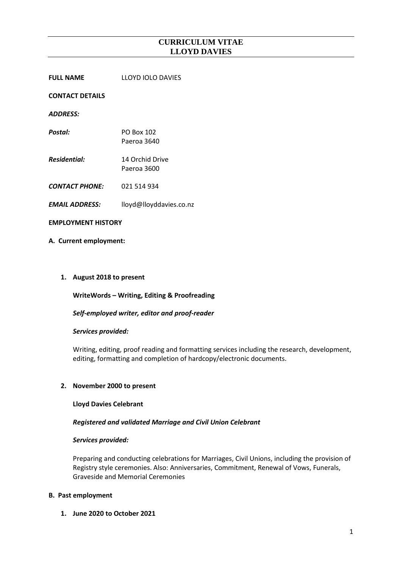**FULL NAME** LLOYD IOLO DAVIES

#### **CONTACT DETAILS**

*ADDRESS:*

- *Postal:* PO Box 102 Paeroa 3640
- *Residential:* 14 Orchid Drive Paeroa 3600
- *CONTACT PHONE:* 021 514 934
- *EMAIL ADDRESS:* lloyd@lloyddavies.co.nz

#### **EMPLOYMENT HISTORY**

#### **A. Current employment:**

#### **1. August 2018 to present**

**WriteWords – Writing, Editing & Proofreading**

## *Self-employed writer, editor and proof-reader*

#### *Services provided:*

Writing, editing, proof reading and formatting services including the research, development, editing, formatting and completion of hardcopy/electronic documents.

## **2. November 2000 to present**

#### **Lloyd Davies Celebrant**

## *Registered and validated Marriage and Civil Union Celebrant*

#### *Services provided:*

Preparing and conducting celebrations for Marriages, Civil Unions, including the provision of Registry style ceremonies. Also: Anniversaries, Commitment, Renewal of Vows, Funerals, Graveside and Memorial Ceremonies

#### **B. Past employment**

**1. June 2020 to October 2021**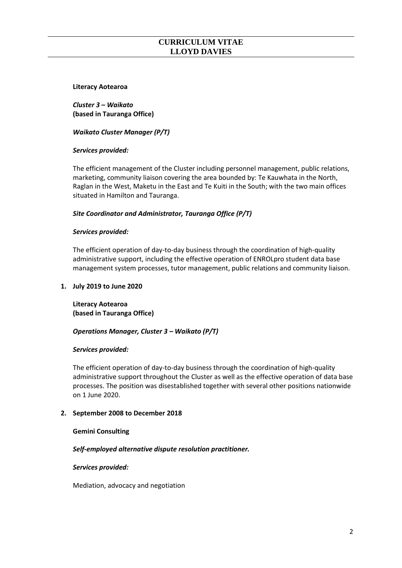#### **Literacy Aotearoa**

*Cluster 3 – Waikato* **(based in Tauranga Office)**

*Waikato Cluster Manager (P/T)*

# *Services provided:*

The efficient management of the Cluster including personnel management, public relations, marketing, community liaison covering the area bounded by: Te Kauwhata in the North, Raglan in the West, Maketu in the East and Te Kuiti in the South; with the two main offices situated in Hamilton and Tauranga.

# *Site Coordinator and Administrator, Tauranga Office (P/T)*

# *Services provided:*

The efficient operation of day-to-day business through the coordination of high-quality administrative support, including the effective operation of ENROLpro student data base management system processes, tutor management, public relations and community liaison.

## **1. July 2019 to June 2020**

**Literacy Aotearoa (based in Tauranga Office)**

## *Operations Manager, Cluster 3 – Waikato (P/T)*

## *Services provided:*

The efficient operation of day-to-day business through the coordination of high-quality administrative support throughout the Cluster as well as the effective operation of data base processes. The position was disestablished together with several other positions nationwide on 1 June 2020.

## **2. September 2008 to December 2018**

## **Gemini Consulting**

## *Self-employed alternative dispute resolution practitioner.*

*Services provided:* 

Mediation, advocacy and negotiation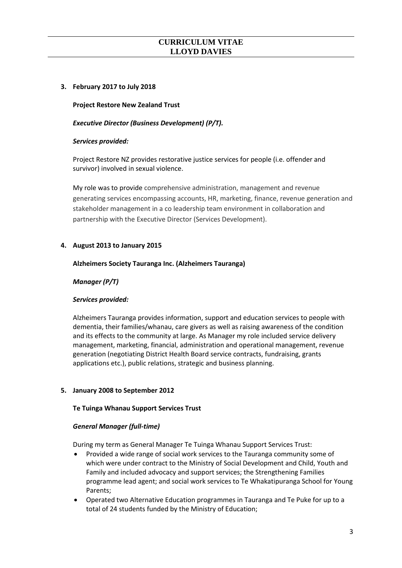# **3. February 2017 to July 2018**

**Project Restore New Zealand Trust**

## *Executive Director (Business Development) (P/T).*

## *Services provided:*

Project Restore NZ provides restorative justice services for people (i.e. offender and survivor) involved in sexual violence.

My role was to provide comprehensive administration, management and revenue generating services encompassing accounts, HR, marketing, finance, revenue generation and stakeholder management in a co leadership team environment in collaboration and partnership with the Executive Director (Services Development).

# **4. August 2013 to January 2015**

## **Alzheimers Society Tauranga Inc. (Alzheimers Tauranga)**

# *Manager (P/T)*

## *Services provided:*

Alzheimers Tauranga provides information, support and education services to people with dementia, their families/whanau, care givers as well as raising awareness of the condition and its effects to the community at large. As Manager my role included service delivery management, marketing, financial, administration and operational management, revenue generation (negotiating District Health Board service contracts, fundraising, grants applications etc.), public relations, strategic and business planning.

# **5. January 2008 to September 2012**

## **Te Tuinga Whanau Support Services Trust**

## *General Manager (full-time)*

During my term as General Manager Te Tuinga Whanau Support Services Trust:

- Provided a wide range of social work services to the Tauranga community some of which were under contract to the Ministry of Social Development and Child, Youth and Family and included advocacy and support services; the Strengthening Families programme lead agent; and social work services to Te Whakatipuranga School for Young Parents;
- Operated two Alternative Education programmes in Tauranga and Te Puke for up to a total of 24 students funded by the Ministry of Education;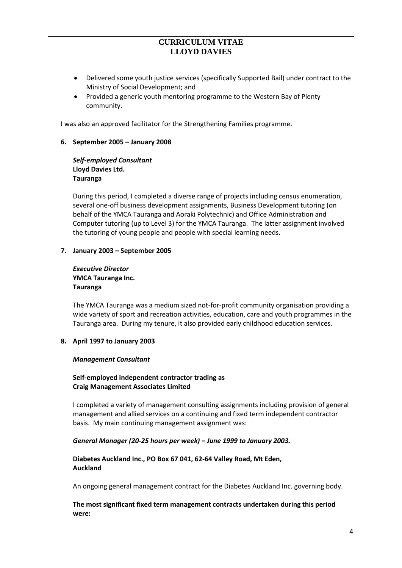- Delivered some youth justice services (specifically Supported Bail) under contract to the Ministry of Social Development; and
- Provided a generic youth mentoring programme to the Western Bay of Plenty community.

I was also an approved facilitator for the Strengthening Families programme.

#### **6. September 2005 – January 2008**

*Self-employed Consultant* **Lloyd Davies Ltd. Tauranga** 

During this period, I completed a diverse range of projects including census enumeration, several one-off business development assignments, Business Development tutoring (on behalf of the YMCA Tauranga and Aoraki Polytechnic) and Office Administration and Computer tutoring (up to Level 3) for the YMCA Tauranga. The latter assignment involved the tutoring of young people and people with special learning needs.

#### **7. January 2003 – September 2005**

*Executive Director*  **YMCA Tauranga Inc. Tauranga** 

The YMCA Tauranga was a medium sized not-for-profit community organisation providing a wide variety of sport and recreation activities, education, care and youth programmes in the Tauranga area. During my tenure, it also provided early childhood education services.

#### **8. April 1997 to January 2003**

#### *Management Consultant*

# **Self-employed independent contractor trading as Craig Management Associates Limited**

I completed a variety of management consulting assignments including provision of general management and allied services on a continuing and fixed term independent contractor basis. My main continuing management assignment was:

## *General Manager (20-25 hours per week) – June 1999 to January 2003.*

# **Diabetes Auckland Inc., PO Box 67 041, 62-64 Valley Road, Mt Eden, Auckland**

An ongoing general management contract for the Diabetes Auckland Inc. governing body.

## **The most significant fixed term management contracts undertaken during this period were:**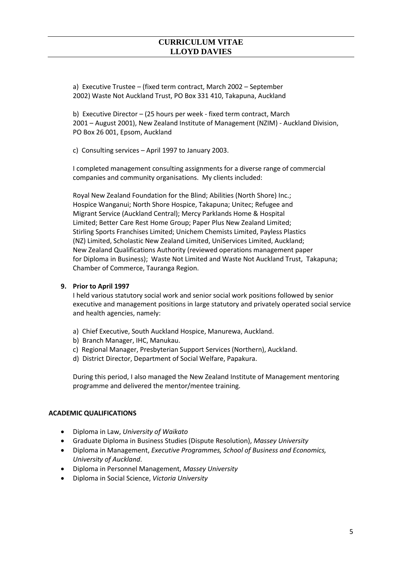a) Executive Trustee – (fixed term contract, March 2002 – September 2002) Waste Not Auckland Trust, PO Box 331 410, Takapuna, Auckland

b) Executive Director – (25 hours per week - fixed term contract, March 2001 – August 2001), New Zealand Institute of Management (NZIM) - Auckland Division, PO Box 26 001, Epsom, Auckland

c) Consulting services – April 1997 to January 2003.

I completed management consulting assignments for a diverse range of commercial companies and community organisations. My clients included:

Royal New Zealand Foundation for the Blind; Abilities (North Shore) Inc.; Hospice Wanganui; North Shore Hospice, Takapuna; Unitec; Refugee and Migrant Service (Auckland Central); Mercy Parklands Home & Hospital Limited; Better Care Rest Home Group; Paper Plus New Zealand Limited; Stirling Sports Franchises Limited; Unichem Chemists Limited, Payless Plastics (NZ) Limited, Scholastic New Zealand Limited, UniServices Limited, Auckland; New Zealand Qualifications Authority (reviewed operations management paper for Diploma in Business); Waste Not Limited and Waste Not Auckland Trust, Takapuna; Chamber of Commerce, Tauranga Region.

# **9. Prior to April 1997**

I held various statutory social work and senior social work positions followed by senior executive and management positions in large statutory and privately operated social service and health agencies, namely:

- a) Chief Executive, South Auckland Hospice, Manurewa, Auckland.
- b) Branch Manager, IHC, Manukau.
- c) Regional Manager, Presbyterian Support Services (Northern), Auckland.
- d) District Director, Department of Social Welfare, Papakura.

During this period, I also managed the New Zealand Institute of Management mentoring programme and delivered the mentor/mentee training.

# **ACADEMIC QUALIFICATIONS**

- Diploma in Law, *University of Waikato*
- Graduate Diploma in Business Studies (Dispute Resolution), *Massey University*
- Diploma in Management, *Executive Programmes, School of Business and Economics, University of Auckland*.
- Diploma in Personnel Management, *Massey University*
- Diploma in Social Science, *Victoria University*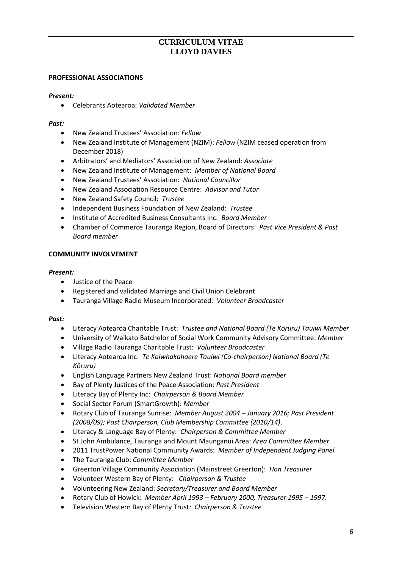## **PROFESSIONAL ASSOCIATIONS**

## *Present:*

• Celebrants Aotearoa: *Validated Member*

## *Past:*

- New Zealand Trustees' Association: *Fellow*
- New Zealand Institute of Management (NZIM): *Fellow* (NZIM ceased operation from December 2018)
- Arbitrators' and Mediators' Association of New Zealand: *Associate*
- New Zealand Institute of Management: *Member of National Board*
- New Zealand Trustees' Association: *National Councillor*
- New Zealand Association Resource Centre: *Advisor and Tutor*
- New Zealand Safety Council: *Trustee*
- Independent Business Foundation of New Zealand: *Trustee*
- Institute of Accredited Business Consultants Inc: *Board Member*
- Chamber of Commerce Tauranga Region, Board of Directors: *Past Vice President & Past Board member*

# **COMMUNITY INVOLVEMENT**

## *Present:*

- Justice of the Peace
- Registered and validated Marriage and Civil Union Celebrant
- Tauranga Village Radio Museum Incorporated: *Volunteer Broadcaster*

## *Past:*

- Literacy Aotearoa Charitable Trust: *Trustee and National Board (Te Kōruru) Tauiwi Member*
- University of Waikato Batchelor of Social Work Community Advisory Committee: *Member*
- Village Radio Tauranga Charitable Trust: *Volunteer Broadcaster*
- Literacy Aotearoa Inc: *Te Kaiwhakahaere Tauiwi (Co-chairperson) National Board (Te Kōruru)*
- English Language Partners New Zealand Trust: *National Board member*
- Bay of Plenty Justices of the Peace Association: *Past President*
- Literacy Bay of Plenty Inc: *Chairperson & Board Member*
- Social Sector Forum (SmartGrowth): *Member*
- Rotary Club of Tauranga Sunrise: *Member August 2004 – January 2016; Past President (2008/09); Past Chairperson, Club Membership Committee (2010/14)*.
- Literacy & Language Bay of Plenty: *Chairperson & Committee Member*
- St John Ambulance, Tauranga and Mount Maunganui Area: *Area Committee Member*
- 2011 TrustPower National Community Awards: *Member of Independent Judging Panel*
- The Tauranga Club: *Committee Member*
- Greerton Village Community Association (Mainstreet Greerton): *Hon Treasurer*
- Volunteer Western Bay of Plenty: *Chairperson & Trustee*
- Volunteering New Zealand: *Secretary/Treasurer and Board Member*
- Rotary Club of Howick: *Member April 1993 – February 2000, Treasurer 1995 – 1997.*
- Television Western Bay of Plenty Trust*: Chairperson & Trustee*